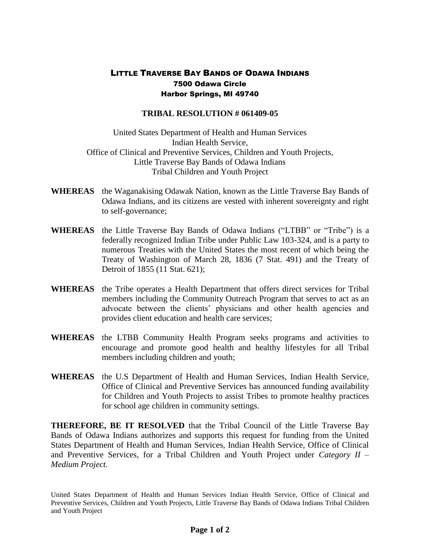## LITTLE TRAVERSE BAY BANDS OF ODAWA INDIANS 7500 Odawa Circle Harbor Springs, MI 49740

## **TRIBAL RESOLUTION # 061409-05**

United States Department of Health and Human Services Indian Health Service, Office of Clinical and Preventive Services, Children and Youth Projects, Little Traverse Bay Bands of Odawa Indians Tribal Children and Youth Project

- **WHEREAS** the Waganakising Odawak Nation, known as the Little Traverse Bay Bands of Odawa Indians, and its citizens are vested with inherent sovereignty and right to self-governance;
- **WHEREAS** the Little Traverse Bay Bands of Odawa Indians ("LTBB" or "Tribe") is a federally recognized Indian Tribe under Public Law 103-324, and is a party to numerous Treaties with the United States the most recent of which being the Treaty of Washington of March 28, 1836 (7 Stat. 491) and the Treaty of Detroit of 1855 (11 Stat. 621);
- **WHEREAS** the Tribe operates a Health Department that offers direct services for Tribal members including the Community Outreach Program that serves to act as an advocate between the clients' physicians and other health agencies and provides client education and health care services;
- **WHEREAS** the LTBB Community Health Program seeks programs and activities to encourage and promote good health and healthy lifestyles for all Tribal members including children and youth;
- **WHEREAS** the U.S Department of Health and Human Services, Indian Health Service, Office of Clinical and Preventive Services has announced funding availability for Children and Youth Projects to assist Tribes to promote healthy practices for school age children in community settings.

**THEREFORE, BE IT RESOLVED** that the Tribal Council of the Little Traverse Bay Bands of Odawa Indians authorizes and supports this request for funding from the United States Department of Health and Human Services, Indian Health Service, Office of Clinical and Preventive Services, for a Tribal Children and Youth Project under *Category II – Medium Project.*

United States Department of Health and Human Services Indian Health Service, Office of Clinical and Preventive Services, Children and Youth Projects, Little Traverse Bay Bands of Odawa Indians Tribal Children and Youth Project